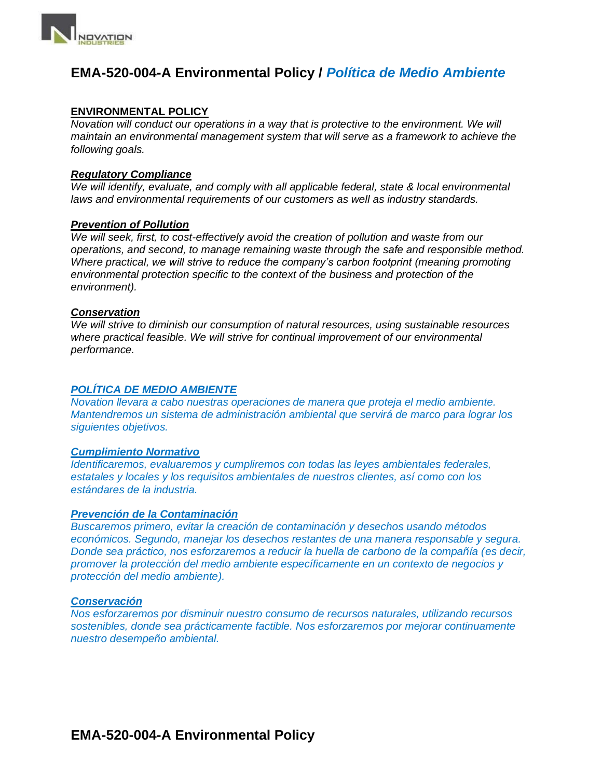

### **EMA-520-004-A Environmental Policy /** *Política de Medio Ambiente*

#### **ENVIRONMENTAL POLICY**

*Novation will conduct our operations in a way that is protective to the environment. We will maintain an environmental management system that will serve as a framework to achieve the following goals.*

#### *Regulatory Compliance*

*We will identify, evaluate, and comply with all applicable federal, state & local environmental laws and environmental requirements of our customers as well as industry standards.*

#### *Prevention of Pollution*

*We will seek, first, to cost-effectively avoid the creation of pollution and waste from our operations, and second, to manage remaining waste through the safe and responsible method. Where practical, we will strive to reduce the company's carbon footprint (meaning promoting environmental protection specific to the context of the business and protection of the environment).*

#### *Conservation*

*We will strive to diminish our consumption of natural resources, using sustainable resources where practical feasible. We will strive for continual improvement of our environmental performance.*

#### *POLÍTICA DE MEDIO AMBIENTE*

*Novation llevara a cabo nuestras operaciones de manera que proteja el medio ambiente. Mantendremos un sistema de administración ambiental que servirá de marco para lograr los siguientes objetivos.*

#### *Cumplimiento Normativo*

*Identificaremos, evaluaremos y cumpliremos con todas las leyes ambientales federales, estatales y locales y los requisitos ambientales de nuestros clientes, así como con los estándares de la industria.*

#### *Prevención de la Contaminación*

*Buscaremos primero, evitar la creación de contaminación y desechos usando métodos económicos. Segundo, manejar los desechos restantes de una manera responsable y segura. Donde sea práctico, nos esforzaremos a reducir la huella de carbono de la compañía (es decir, promover la protección del medio ambiente específicamente en un contexto de negocios y protección del medio ambiente).*

#### *Conservación*

*Nos esforzaremos por disminuir nuestro consumo de recursos naturales, utilizando recursos sostenibles, donde sea prácticamente factible. Nos esforzaremos por mejorar continuamente nuestro desempeño ambiental.*